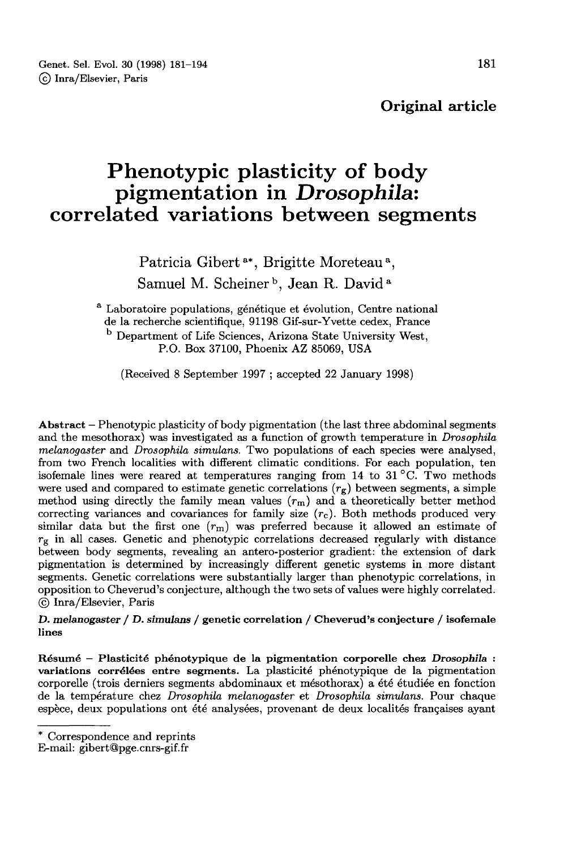Original article

# Phenotypic plasticity of body pigmentation in Drosophila: correlated variations between segments

Patricia Gibert<sup>a\*</sup>, Brigitte Moreteau<sup>a</sup>, Samuel M. Scheiner<sup>b</sup>, Jean R. David<sup>a</sup>

<sup>a</sup> Laboratoire populations, génétique et évolution, Centre national <sup>b</sup> Department of Life Sciences, Arizona State University West, P.O. Box 37100, Phoenix AZ 85069, USA

(Received 8 September 1997 ; accepted 22 January 1998)

Abstract - Phenotypic plasticity of body pigmentation (the last three abdominal segments and the mesothorax) was investigated as a function of growth temperature in Drosophila melanogaster and Drosophila simulans. Two populations of each species were analysed, from two French localities with different climatic conditions. For each population, ten isofemale lines were reared at temperatures ranging from 14 to 31 °C. Two methods were used and compared to estimate genetic correlations  $(r_g)$  between segments, a simple method using directly the family mean values  $(r_g)$  between segments, a simple<br>method using directly the family mean values  $(r_m)$  and a theoretically better method<br>correcting variances and covariances for family size  $(r_a)$ method using directly the family mean values  $(r_m)$  and a theoretically better methods correcting variances and covariances for family size  $(r_c)$ . Both methods produced very similar data but the first one  $(r_a)$  was preferr similar data but the first one  $(r_m)$  was preferred because it allowed an estimate of  $r_g$  in all cases. Genetic and phenotypic correlations decreased regularly with distance between body segments, revealing an antero-posterior gradient: the extension of dark pigmentation is determined by increasingly different genetic systems in more distant segments. Genetic correlations were substantially larger than phenotypic correlations, in opposition to Cheverud's conjecture, although the two sets of values were highly correlated. © Inra/Elsevier, Paris

D. melanogaster / D. simulans / genetic correlation / Cheverud's conjecture / isofemale lines

Résumé - Plasticité phénotypique de la pigmentation corporelle chez Drosophila : variations corrélées entre segments. La plasticité phénotypique de la pigmentation corporelle (trois derniers segments abdominaux et mésothorax) a été étudiée en fonction de la température chez Drosophila melanogaster et Drosophila simulans. Pour chaque espèce, deux populations ont été analysées, provenant de deux localités françaises ayant

<sup>\*</sup> Correspondence and reprints

E-mail: gibert@pge.cnrs-gif.fr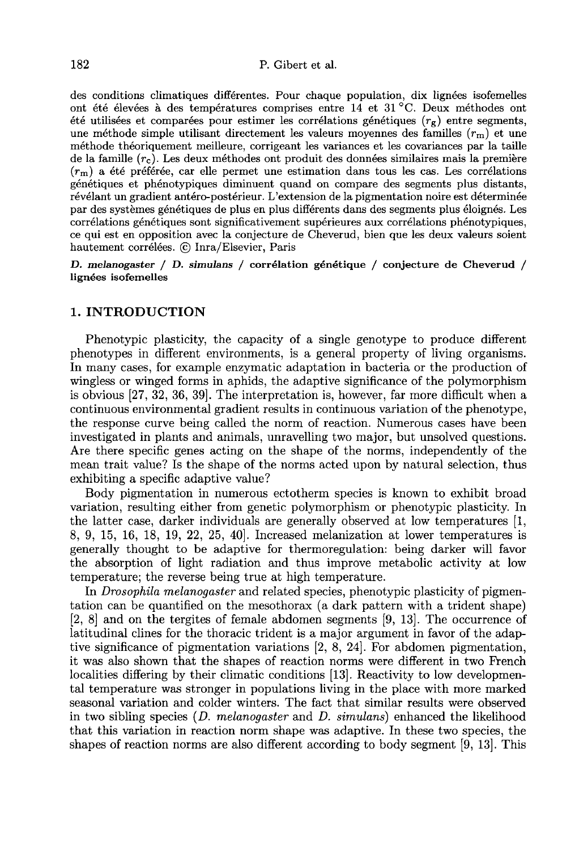des conditions climatiques différentes. Pour chaque population, dix lignées isofemelles ont été élevées à des températures comprises entre 14 et 31 °C. Deux méthodes ont été utilisées et comparées pour estimer les corrélations génétiques  $(r_g)$  entre segments, une méthode simple utilisant directement les valeurs moyennes des familles ( $r_m$ ) et une méthode théoriquement meilleure, corrigeant les variances et les covariances par la taille méthode théoriquement meilleure, corrigeant les variances et les covariances par la taille<br>de la famille  $(r_c)$ . Les deux méthodes ont produit des données similaires mais la première<br> $(r_c)$ , a été préférée, car elle permet de la famille  $(r_c)$ . Les deux méthodes ont produit des données similaires mais la première  $(r_m)$  a été préférée, car elle permet une estimation dans tous les cas. Les corrélations appréciences et phénotypiques diminuent q génétiques et phénotypiques diminuent quand on compare des segments plus distants, révélant un gradient antéro-postérieur. L'extension de la pigmentation noire est déterminée par des systèmes génétiques de plus en plus différents dans des segments plus éloignés. Les corrélations génétiques sont significativement supérieures aux corrélations phénotypiques, ce qui est en opposition avec la conjecture de Cheverud, bien que les deux valeurs soient hautement corrélées. © Inra/Elsevier, Paris

D. melanogaster / D. simulans / corrélation génétique / conjecture de Cheverud / lignées isofemelles

## 1. INTRODUCTION

Phenotypic plasticity, the capacity of a single genotype to produce different phenotypes in different environments, is a general property of living organisms. In many cases, for example enzymatic adaptation in bacteria or the production of wingless or winged forms in aphids, the adaptive significance of the polymorphism is obvious  $[27, 32, 36, 39]$ . The interpretation is, however, far more difficult when a continuous environmental gradient results in continuous variation of the phenotype, the response curve being called the norm of reaction. Numerous cases have been investigated in plants and animals, unravelling two major, but unsolved questions. Are there specific genes acting on the shape of the norms, independently of the mean trait value? Is the shape of the norms acted upon by natural selection, thus exhibiting a specific adaptive value?

Body pigmentation in numerous ectotherm species is known to exhibit broad variation, resulting either from genetic polymorphism or phenotypic plasticity. In the latter case, darker individuals are generally observed at low temperatures [1, 8, 9, 15, 16, 18, 19, 22, 25, 40]. Increased melanization at lower temperatures is generally thought to be adaptive for thermoregulation: being darker will favor the absorption of light radiation and thus improve metabolic activity at low temperature; the reverse being true at high temperature.

In Drosophila melanogaster and related species, phenotypic plasticity of pigmentation can be quantified on the mesothorax (a dark pattern with a trident shape)  $[2, 8]$  and on the tergites of female abdomen segments  $[9, 13]$ . The occurrence of latitudinal clines for the thoracic trident is a major argument in favor of the adaptive significance of pigmentation variations [2, 8, 24]. For abdomen pigmentation, it was also shown that the shapes of reaction norms were different in two French localities differing by their climatic conditions [13]. Reactivity to low developmental temperature was stronger in populations living in the place with more marked seasonal variation and colder winters. The fact that similar results were observed in two sibling species  $(D. \text{ melanogaster} \text{ and } D. \text{ simulans})$  enhanced the likelihood that this variation in reaction norm shape was adaptive. In these two species, the shapes of reaction norms are also different according to body segment [9, 13!. This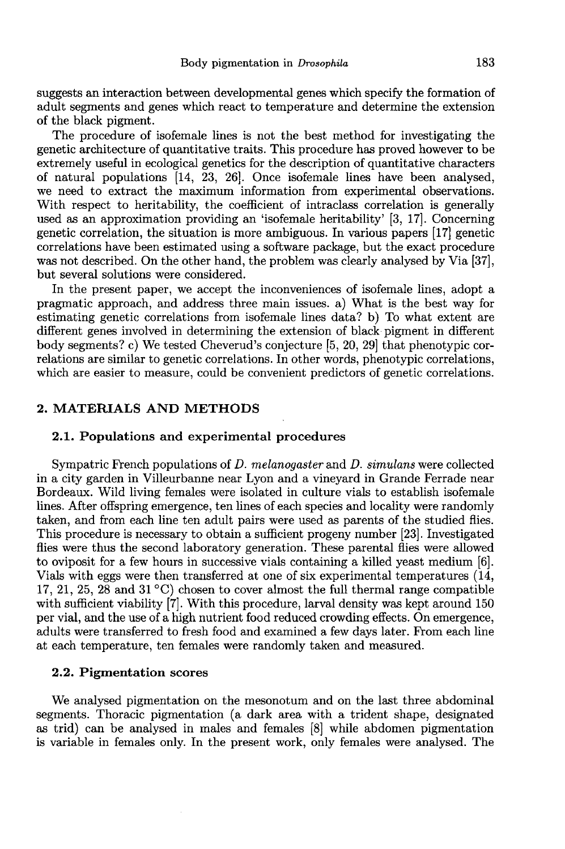suggests an interaction between developmental genes which specify the formation of adult segments and genes which react to temperature and determine the extension of the black pigment.

The procedure of isofemale lines is not the best method for investigating the genetic architecture of quantitative traits. This procedure has proved however to be extremely useful in ecological genetics for the description of quantitative characters of natural populations [14, 23, 26]. Once isofemale lines have been analysed, we need to extract the maximum information from experimental observations. With respect to heritability, the coefficient of intraclass correlation is generally used as an approximation providing an 'isofemale heritability' [3, 17!. Concerning genetic correlation, the situation is more ambiguous. In various papers [17] genetic was not described. On the other hand, the problem was clearly analysed by Via [37], but several solutions were considered.

In the present paper, we accept the inconveniences of isofemale lines, adopt a pragmatic approach, and address three main issues. a) What is the best way for estimating genetic correlations from isofemale lines data? b) To what extent are different genes involved in determining the extension of black pigment in different body segments? c) We tested Cheverud's conjecture [5, 20, 29] that phenotypic correlations are similar to genetic correlations. In other words, phenotypic correlations, which are easier to measure, could be convenient predictors of genetic correlations.

# 2. MATERIALS AND METHODS

# 2.1. Populations and experimental procedures

Sympatric French populations of D. melanogaster and D. simulans were collected in a city garden in Villeurbanne near Lyon and a vineyard in Grande Ferrade near Bordeaux. Wild living females were isolated in culture vials to establish isofemale lines. After offspring emergence, ten lines of each species and locality were randomly taken, and from each line ten adult pairs were used as parents of the studied flies. This procedure is necessary to obtain a sufficient progeny number [23]. Investigated flies were thus the second laboratory generation. These parental flies were allowed to oviposit for a few hours in successive vials containing a killed yeast medium (6!. Vials with eggs were then transferred at one of six experimental temperatures (14, 17, 21, 25, 28 and 31 °C) chosen to cover almost the full thermal range compatible with sufficient viability [7]. With this procedure, larval density was kept around 150 per vial, and the use of a high nutrient food reduced crowding effects. On emergence, adults were transferred to fresh food and examined a few days later. From each line at each temperature, ten females were randomly taken and measured.

# 2.2. Pigmentation scores

We analysed pigmentation on the mesonotum and on the last three abdominal segments. Thoracic pigmentation (a dark area with a trident shape, designated as trid) can be analysed in males and females [8] while abdomen pigmentation is variable in females only. In the present work, only females were analysed. The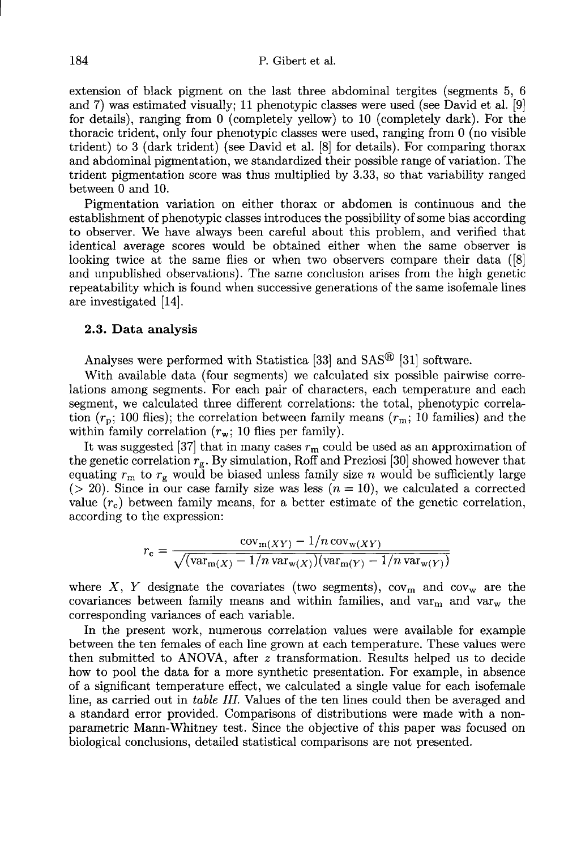extension of black pigment on the last three abdominal tergites (segments 5, 6 and 7) was estimated visually; 11 phenotypic classes were used (see David et al. [9] for details), ranging from 0 (completely yellow) to 10 (completely dark). For the thoracic trident, only four phenotypic classes were used, ranging from 0 (no visible trident) to 3 (dark trident) (see David et al. [8] for details). For comparing thorax and abdominal pigmentation, we standardized their possible range of variation. The trident pigmentation score was thus multiplied by 3.33, so that variability ranged between 0 and 10.

Pigmentation variation on either thorax or abdomen is continuous and the establishment of phenotypic classes introduces the possibility of some bias according to observer. We have always been careful about this problem, and verified that identical average scores would be obtained either when the same observer is looking twice at the same flies or when two observers compare their data ([8] and unpublished observations). The same conclusion arises from the high genetic repeatability which is found when successive generations of the same isofemale lines are investigated [14].

#### 2.3. Data analysis

Analyses were performed with Statistica [33] and  $SAS^{\textcircled{B}}$  [31] software.

With available data (four segments) we calculated six possible pairwise correlations among segments. For each pair of characters, each temperature and each segment, we calculated three different correlations: the total, phenotypic correlation  $(r_p; 100$  flies); the correlation between family means  $(r_m; 10$  families) and the within family correlation  $(r_w; 10$  flies per family).

It was suggested [37] that in many cases  $r_m$  could be used as an approximation of the genetic correlation  $r_g$ . By simulation, Roff and Preziosi [30] showed however that equating  $r_m$  to  $r_g$  would be biased unless family size n would be sufficiently large ( $>$  20). Since in our case family size was less ( $n = 10$ ), we calculated a corrected value  $(r_c)$  between family means, for a better estimate of the genetic correlation, according to the expression:

$$
r_{\rm c} = \frac{\mathrm{cov}_{\mathrm{m}(XY)} - 1/n \, \mathrm{cov}_{\mathrm{w}(XY)}}{\sqrt{(\mathrm{var}_{\mathrm{m}(X)} - 1/n \, \mathrm{var}_{\mathrm{w}(X)})(\mathrm{var}_{\mathrm{m}(Y)} - 1/n \, \mathrm{var}_{\mathrm{w}(Y)})}}
$$

 $\sqrt{\frac{\text{Var}_{m}(X) - 1}{n \text{Var}_{w}(X)}}$ <br>where X, Y designate the covariates (two segments), cov<sub>m</sub> and cov<sub>w</sub> are the<br>covariances between family means and within families and yer, and yer, the where X, Y designate the covariates (two segments),  $cov_m$  and  $cov_w$  are the covariances between family means and within families, and  $var_m$  and  $var_w$  the corresponding variances of each variable. corresponding variances of each variable.

In the present work, numerous correlation values were available for example between the ten females of each line grown at each temperature. These values were then submitted to ANOVA, after z transformation. Results helped us to decide how to pool the data for a more synthetic presentation. For example, in absence of a significant temperature effect, we calculated a single value for each isofemale line, as carried out in table IIL Values of the ten lines could then be averaged and a standard error provided. Comparisons of distributions were made with a nonparametric Mann-Whitney test. Since the objective of this paper was focused on biological conclusions, detailed statistical comparisons are not presented.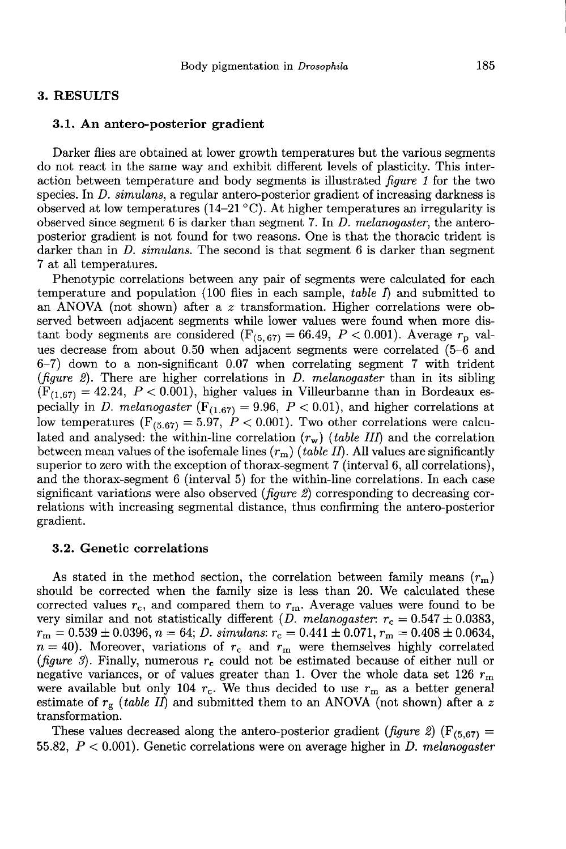#### 3. RESULTS

#### 3.1. An antero-posterior gradient

Darker flies are obtained at lower growth temperatures but the various segments do not react in the same way and exhibit different levels of plasticity. This interaction between temperature and body segments is illustrated *figure 1* for the two species. In *D. simulans*, a regular antero-posterior gradient of increasing darkness is observed at low temperatures (14-21  $^{\circ}$ C). At higher temperatures an irregularity is observed since segment 6 is darker than segment 7. In  $D.$  melanogaster, the anteroposterior gradient is not found for two reasons. One is that the thoracic trident is darker than in  $D.$  simulans. The second is that segment 6 is darker than segment 7 at all temperatures.

Phenotypic correlations between any pair of segments were calculated for each temperature and population (100 flies in each sample, table  $\Gamma$ ) and submitted to an ANOVA (not shown) after a z transformation. Higher correlations were observed between adjacent segments while lower values were found when more distant body segments are considered ( $F_{(5,67)} = 66.49$ ,  $P < 0.001$ ). Average  $r_p$  values decrease from about 0.50 when adjacent segments were correlated (5-6 and 6-7) down to a non-significant 0.07 when correlating segment 7 with trident (figure 2). There are higher correlations in D. melanogaster than in its sibling (Figure 2). There are higher correlations in *D. melanogaster* than in its sibling (*F*<sub>(1,67)</sub> = 42.24, *P* < 0.001), higher values in Villeurbanne than in Bordeaux especially in *D. melanogaster* (*F*<sub>(1,67)</sub> = 9.96, *P* (*figure 2*). There are higher correlations in *D. melanogaster* than in its sibling ( $F_{(1,67)} = 42.24$ ,  $P < 0.001$ ), higher values in Villeurbanne than in Bordeaux especially in *D. melanogaster* ( $F_{(1,67)} = 9.96$ ,  $P < 0$ pecially in *D. melanogaster* ( $F_{(1.67)} = 9.96$ ,  $P < 0.01$ ), and higher correlations at low temperatures ( $F_{(5.67)} = 5.97$ ,  $P < 0.001$ ). Two other correlations were calculated and analysed: the within-line correlation  $(r_w)$  (table III) and the correlation<br>between mean values of the isofemale lines  $(r_m)$  (table II). All values are significantly<br>superior to zero with the exception of thorax superior to zero with the exception of thorax-segment 7 (interval 6, all correlations), and the thorax-segment 6 (interval 5) for the within-line correlations. In each case significant variations were also observed ( $figure 2$ ) corresponding to decreasing correlations with increasing segmental distance, thus confirming the antero-posterior gradient.

## 3.2. Genetic correlations

As stated in the method section, the correlation between family means  $(r_m)$ should be corrected when the family size is less than 20. We calculated these corrected values  $r_c$ , and compared them to  $r_m$ . Average values were found to be very similar and not statistically different (*D. melanogaster:*  $r_c = 0.547 \pm 0.0383$ ,  $r_{\rm m} = 0.539 \pm 0.0396$ ,  $n = 64$ ; *D. simulans*:  $r_{\rm c} = 0.441 \pm 0.071$ ,  $r_{\rm m} = 0.408 \pm 0.0634$ ,  $n = 40$ ). Moreover, variations of  $r_{\rm c}$  and  $r_{\rm m}$  were themselves highly correlated (figure 3). Finally, numerous  $r_c$  could not be estimated because of either null or negative variances, or of values greater than 1. Over the whole data set 126  $r_{\mathrm{m}}$ megative variances, or of values greater than 1. Over the whole data set 126  $r_m$  were available but only 104  $r_c$ . We thus decided to use  $r_m$  as a better general estimate of  $r_g$  (*table II*) and submitted them to an AN estimate of  $r_g$  (table II) and submitted them to an ANOVA (not shown) after a z transformation.

55.82,  $P < 0.001$ ). Genetic correlations were on average higher in D. melanogaster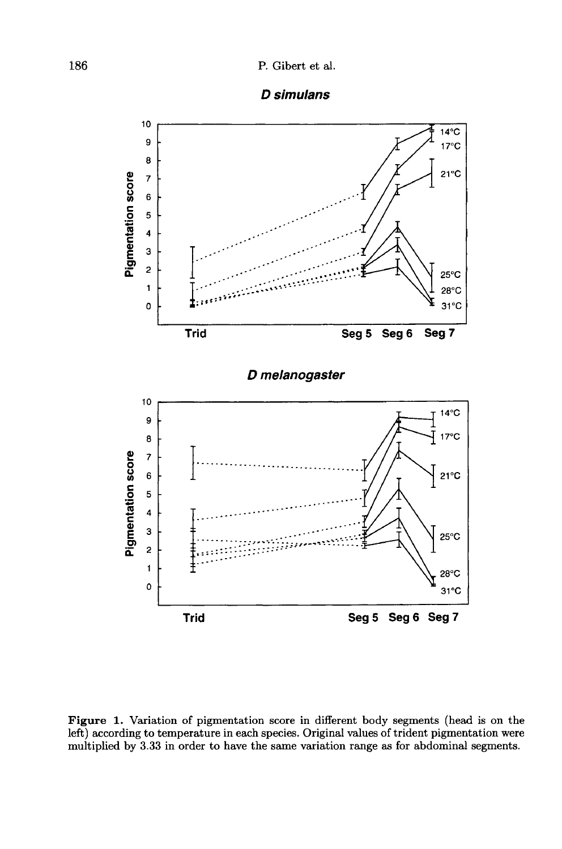



Figure 1. Variation of pigmentation score in different body segments (head is on the left) according to temperature in each species. Original values of trident pigmentation were multiplied by 3.33 in order to have the same variation range as for abdominal segments.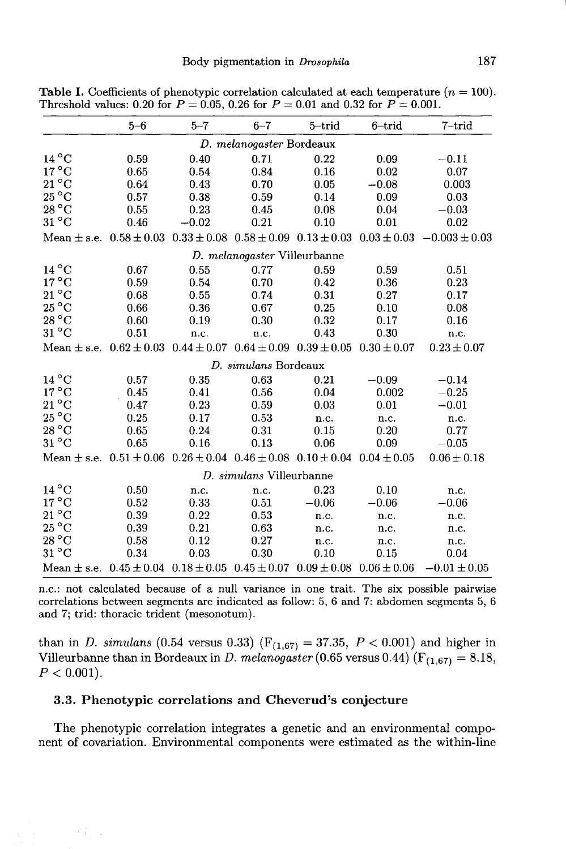|                          | $5 - 6$                                                                                         | $5 - 7$ | $6 - 7$                      | $5 -$ trid | $6$ -trid | $7$ -trid                                                                                                         |
|--------------------------|-------------------------------------------------------------------------------------------------|---------|------------------------------|------------|-----------|-------------------------------------------------------------------------------------------------------------------|
|                          |                                                                                                 |         | D. melanogaster Bordeaux     |            |           |                                                                                                                   |
| $14\,^{\circ}\mathrm{C}$ | 0.59                                                                                            | 0.40    | 0.71                         | 0.22       | 0.09      | $-0.11$                                                                                                           |
| $17^{\circ}$ C           | 0.65                                                                                            | 0.54    | 0.84                         | 0.16       | 0.02      | 0.07                                                                                                              |
| $21\,^{\circ}\mathrm{C}$ | 0.64                                                                                            | 0.43    | 0.70                         | 0.05       | $-0.08$   | 0.003                                                                                                             |
| $25^{\circ}$ C           | 0.57                                                                                            | 0.38    | 0.59                         | 0.14       | 0.09      | 0.03                                                                                                              |
| $28\,^{\circ}\mathrm{C}$ | 0.55                                                                                            | 0.23    | 0.45                         | 0.08       | 0.04      | $-0.03$                                                                                                           |
| $31^{\circ}$ C           | 0.46                                                                                            | $-0.02$ | 0.21                         | 0.10       | 0.01      | 0.02                                                                                                              |
|                          |                                                                                                 |         |                              |            |           | Mean $\pm$ s.e. $0.58 \pm 0.03$ $0.33 \pm 0.08$ $0.58 \pm 0.09$ $0.13 \pm 0.03$ $0.03 \pm 0.03$ $-0.003 \pm 0.03$ |
|                          |                                                                                                 |         | D. melanogaster Villeurbanne |            |           |                                                                                                                   |
| $14\,^{\circ}\mathrm{C}$ | 0.67                                                                                            | 0.55    | 0.77                         | 0.59       | 0.59      | 0.51                                                                                                              |
| $17^{\circ}$ C           | 0.59                                                                                            | 0.54    | 0.70                         | 0.42       | 0.36      | 0.23                                                                                                              |
| $21\,^{\circ}\mathrm{C}$ | 0.68                                                                                            | 0.55    | 0.74                         | 0.31       | 0.27      | 0.17                                                                                                              |
| $25^{\circ}$ C           | 0.66                                                                                            | 0.36    | 0.67                         | 0.25       | 0.10      | 0.08                                                                                                              |
| $28\,^{\circ}\text{C}$   | 0.60                                                                                            | 0.19    | 0.30                         | 0.32       | 0.17      | 0.16                                                                                                              |
| $31^{\circ}$ C           | 0.51                                                                                            | n.c.    | n.c.                         | 0.43       | 0.30      | n.c.                                                                                                              |
|                          | Mean $\pm$ s.e. $0.62 \pm 0.03$ $0.44 \pm 0.07$ $0.64 \pm 0.09$ $0.39 \pm 0.05$ $0.30 \pm 0.07$ |         |                              |            |           | $0.23 \pm 0.07$                                                                                                   |
|                          |                                                                                                 |         | D. simulans Bordeaux         |            |           |                                                                                                                   |
| $14^{\circ}$ C           | 0.57                                                                                            | 0.35    | 0.63                         | 0.21       | $-0.09$   | $-0.14$                                                                                                           |
| $17^{\circ}$ C           | 0.45                                                                                            | 0.41    | 0.56                         | 0.04       | 0.002     | $-0.25$                                                                                                           |
| $21\,^{\circ}\mathrm{C}$ | 0.47                                                                                            | 0.23    | 0.59                         | 0.03       | 0.01      | $-0.01$                                                                                                           |
| $25\,^{\circ}\mathrm{C}$ | 0.25                                                                                            | 0.17    | 0.53                         | n.c.       | n.c.      | n.c.                                                                                                              |
| $28\,^{\circ}\text{C}$   | 0.65                                                                                            | 0.24    | 0.31                         | 0.15       | 0.20      | 0.77                                                                                                              |
| $31^{\circ}$ C           | 0.65                                                                                            | 0.16    | 0.13                         | 0.06       | 0.09      | $-0.05$                                                                                                           |
|                          | Mean $\pm$ s.e. $0.51 \pm 0.06$ $0.26 \pm 0.04$ $0.46 \pm 0.08$ $0.10 \pm 0.04$ $0.04 \pm 0.05$ |         |                              |            |           | $0.06 \pm 0.18$                                                                                                   |
|                          |                                                                                                 |         | D. simulans Villeurbanne     |            |           |                                                                                                                   |
| $14^{\circ}$ C           | 0.50                                                                                            | n.c.    | n.c.                         | 0.23       | 0.10      | n.c.                                                                                                              |
| $17^{\circ}$ C           | 0.52                                                                                            | 0.33    | 0.51                         | $-0.06$    | $-0.06$   | $-0.06$                                                                                                           |
| $21\,^{\circ}\mathrm{C}$ | 0.39                                                                                            | 0.22    | 0.53                         | n.c.       | n.c.      | n.c.                                                                                                              |
| $25^{\circ}$ C           | 0.39                                                                                            | 0.21    | 0.63                         | n.c.       | n.c.      | n.c.                                                                                                              |
| $28\,^{\circ}\mathrm{C}$ | 0.58                                                                                            | 0.12    | 0.27                         | n.c.       | n.c.      | n.c.                                                                                                              |
| $31^{\circ}$ C           | 0.34                                                                                            | 0.03    | 0.30                         | 0.10       | 0.15      | 0.04                                                                                                              |
|                          | Mean $\pm$ s.e. $0.45 \pm 0.04$ $0.18 \pm 0.05$ $0.45 \pm 0.07$ $0.09 \pm 0.08$ $0.06 \pm 0.06$ |         |                              |            |           | $-0.01 \pm 0.05$                                                                                                  |

**Table I.** Coefficients of phenotypic correlation calculated at each temperature  $(n = 100)$ . Threshold values: 0.20 for  $P = 0.05$ , 0.26 for  $P = 0.01$  and 0.32 for  $P = 0.001$ .

n.c.: not calculated because of a null variance in one trait. The six possible pairwise correlations between segments are indicated as follow: 5, 6 and 7: abdomen segments 5, 6 and 7; trid: thoracic trident (mesonotum).

than in *D. simulans* (0.54 versus 0.33) ( $F_{(1,67)} = 37.35$ ,  $P < 0.001$ ) and higher in Villeurbanne than in Bordeaux in D. melanogaster (0.65 versus 0.44) ( $F_{(1,67)} = 8.18$ ,  $P < 0.001$ ).

## 3.3. Phenotypic correlations and Cheverud's conjecture

an Sul

The phenotypic correlation integrates a genetic and an environmental component of covariation. Environmental components were estimated as the within-line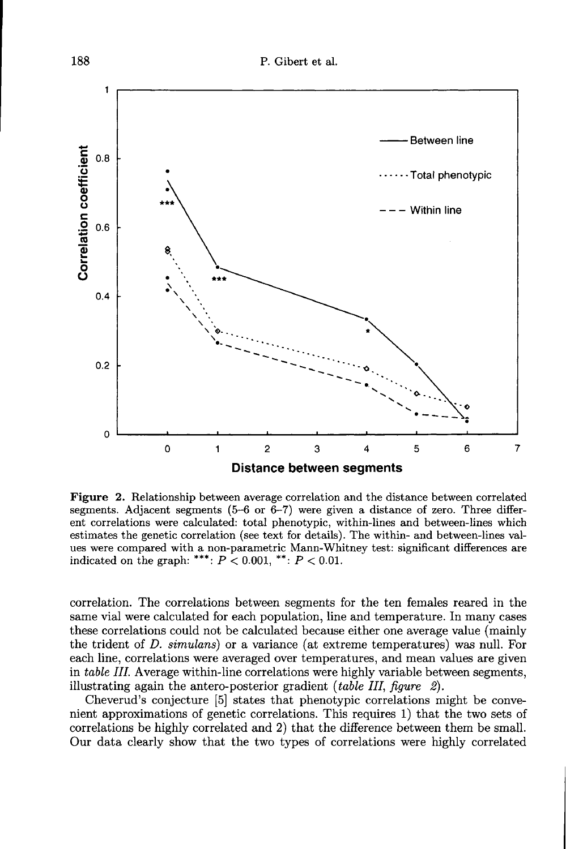

Figure 2. Relationship between average correlation and the distance between correlated segments. Adjacent segments (5-6 or 6-7) were given a distance of zero. Three different correlations were calculated: total phenotypic, within-lines and between-lines which estimates the genetic correlation (see text for details). The within- and between-lines values were compared with a non-parametric Mann-Whitney test: significant differences are indicated on the graph: \*\*\*:  $P < 0.001$ , \*\*:  $P < 0.01$ .

correlation. The correlations between segments for the ten females reared in the same vial were calculated for each population, line and temperature. In many cases these correlations could not be calculated because either one average value (mainly the trident of D. simulans) or a variance (at extreme temperatures) was null. For each line, correlations were averaged over temperatures, and mean values are given in table III. Average within-line correlations were highly variable between segments, illustrating again the antero-posterior gradient *(table III, figure 2)*.

Cheverud's conjecture [5] states that phenotypic correlations might be convenient approximations of genetic correlations. This requires 1) that the two sets of correlations be highly correlated and 2) that the difference between them be small. Our data clearly show that the two types of correlations were highly correlated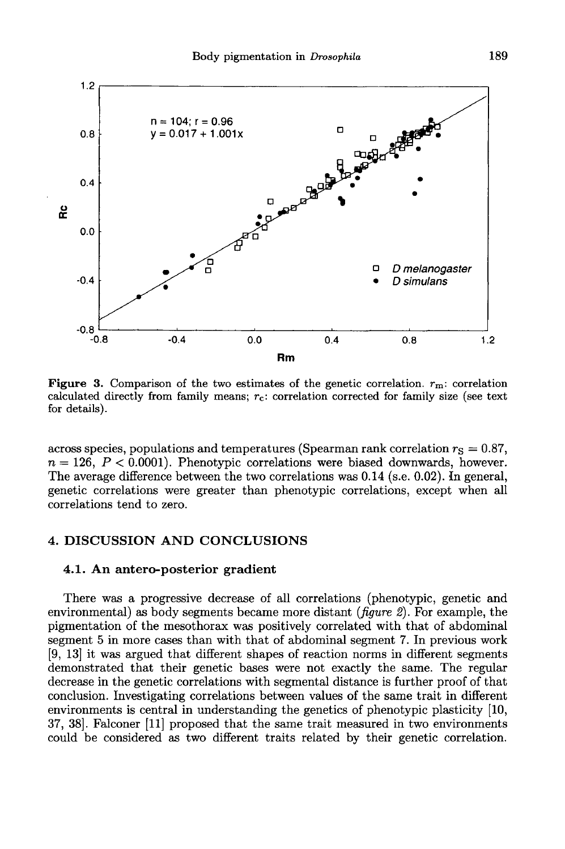

**Figure 3.** Comparison of the two estimates of the genetic correlation.  $r_m$ : correlation calculated directly from family means; r<sub>c</sub>: correlation corrected for family size (see text for details).

across species, populations and temperatures (Spearman rank correlation  $r_S = 0.87$ ,  $n = 126$ ,  $P < 0.0001$ ). Phenotypic correlations were biased downwards, however. The average difference between the two correlations was 0.14 (s.e. 0.02). In general, genetic correlations were greater than phenotypic correlations, except when all correlations tend to zero.

# 4. DISCUSSION AND CONCLUSIONS

#### 4.1. An antero-posterior gradient

There was a progressive decrease of all correlations (phenotypic, genetic and environmental) as body segments became more distant ( $figure 2$ ). For example, the pigmentation of the mesothorax was positively correlated with that of abdominal segment 5 in more cases than with that of abdominal segment 7. In previous work [9, 13] it was argued that different shapes of reaction norms in different segments demonstrated that their genetic bases were not exactly the same. The regular decrease in the genetic correlations with segmental distance is further proof of that conclusion. Investigating correlations between values of the same trait in different environments is central in understanding the genetics of phenotypic plasticity [10, 37, 38]. Falconer [11] proposed that the same trait measured in two environments could be considered as two different traits related by their genetic correlation.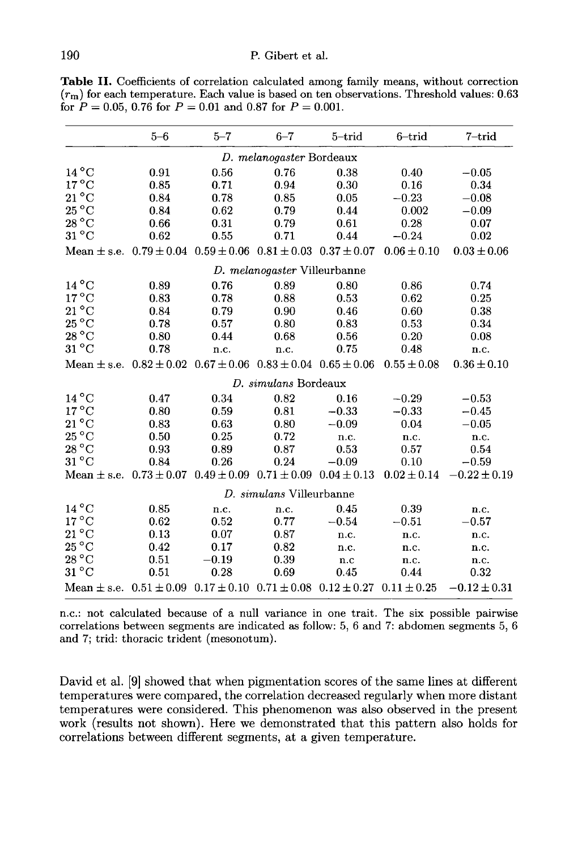Table II. Coefficients of correlation calculated among family means, without correction  $(r<sub>m</sub>)$  for each temperature. Each value is based on ten observations. Threshold values: 0.63 for  $P = 0.05$ , 0.76 for  $P = 0.01$  and 0.87 for  $P = 0.001$ .

|                                                                                                 | $5 - 6$                                                                         | $5 - 7$ | $6 - 7$                      | $5$ -trid                                                       | $6$ -trid       | 7-trid           |
|-------------------------------------------------------------------------------------------------|---------------------------------------------------------------------------------|---------|------------------------------|-----------------------------------------------------------------|-----------------|------------------|
|                                                                                                 |                                                                                 |         |                              |                                                                 |                 |                  |
|                                                                                                 |                                                                                 |         | D. melanogaster Bordeaux     |                                                                 |                 |                  |
| $14^{\circ}$ C                                                                                  | 0.91                                                                            | 0.56    | 0.76                         | 0.38                                                            | 0.40            | $-0.05$          |
| $17^{\circ}$ C                                                                                  | 0.85                                                                            | 0.71    | 0.94                         | 0.30                                                            | 0.16            | 0.34             |
| $21^{\circ}$ C                                                                                  | 0.84                                                                            | 0.78    | 0.85                         | 0.05                                                            | $-0.23$         | $-0.08$          |
| $25\,^{\circ}\mathrm{C}$                                                                        | 0.84                                                                            | 0.62    | 0.79                         | 0.44                                                            | 0.002           | $-0.09$          |
| $28\,^{\circ}\text{C}$                                                                          | 0.66                                                                            | 0.31    | 0.79                         | 0.61                                                            | 0.28            | 0.07             |
| $31^{\circ}$ C                                                                                  | 0.62                                                                            | 0.55    | 0.71                         | 0.44                                                            | $-0.24$         | 0.02             |
|                                                                                                 | Mean $\pm$ s.e. $0.79 \pm 0.04$ $0.59 \pm 0.06$ $0.81 \pm 0.03$ $0.37 \pm 0.07$ |         |                              |                                                                 | $0.06 \pm 0.10$ | $0.03 \pm 0.06$  |
|                                                                                                 |                                                                                 |         | D. melanogaster Villeurbanne |                                                                 |                 |                  |
| $14^{\circ}$ C                                                                                  | 0.89                                                                            | 0.76    | 0.89                         | 0.80                                                            | 0.86            | 0.74             |
| $17^{\circ}$ C                                                                                  | 0.83                                                                            | 0.78    | 0.88                         | 0.53                                                            | 0.62            | 0.25             |
| $21^{\circ}$ C                                                                                  | 0.84                                                                            | 0.79    | 0.90                         | 0.46                                                            | 0.60            | 0.38             |
| $25\,^{\circ}\mathrm{C}$                                                                        | 0.78                                                                            | 0.57    | 0.80                         | 0.83                                                            | 0.53            | 0.34             |
| $28\,^{\circ}\mathrm{C}$                                                                        | 0.80                                                                            | 0.44    | 0.68                         | 0.56                                                            | 0.20            | 0.08             |
| $31^{\circ}$ C                                                                                  | 0.78                                                                            | n.c.    | n.c.                         | 0.75                                                            | 0.48            | n.c.             |
| Mean $\pm$ s.e. $0.82 \pm 0.02$ $0.67 \pm 0.06$ $0.83 \pm 0.04$ $0.65 \pm 0.06$ $0.55 \pm 0.08$ |                                                                                 |         |                              |                                                                 |                 | $0.36 \pm 0.10$  |
|                                                                                                 |                                                                                 |         | D. simulans Bordeaux         |                                                                 |                 |                  |
| $14^{\circ}$ C                                                                                  | 0.47                                                                            | 0.34    | 0.82                         | 0.16                                                            | $-0.29$         | $-0.53$          |
| $17^{\circ}$ C                                                                                  | 0.80                                                                            | 0.59    | 0.81                         | $-0.33$                                                         | $-0.33$         | $-0.45$          |
| $21^{\circ}$ C                                                                                  | 0.83                                                                            | 0.63    | 0.80                         | $-0.09$                                                         | 0.04            | $-0.05$          |
| $25\,^{\circ}\mathrm{C}$                                                                        | 0.50                                                                            | 0.25    | 0.72                         | n.c.                                                            | n.c.            | n.c.             |
| $28\,^{\circ}\text{C}$                                                                          | 0.93                                                                            | 0.89    | 0.87                         | 0.53                                                            | 0.57            | 0.54             |
| $31^{\circ}$ C                                                                                  | 0.84                                                                            | 0.26    | 0.24                         | $-0.09$                                                         | 0.10            | $-0.59$          |
| Mean $\pm$ s.e. 0.73 $\pm$ 0.07 0.49 $\pm$ 0.09 0.71 $\pm$ 0.09 0.04 $\pm$ 0.13 0.02 $\pm$ 0.14 |                                                                                 |         |                              |                                                                 |                 | $-0.22 \pm 0.19$ |
|                                                                                                 |                                                                                 |         | D. simulans Villeurbanne     |                                                                 |                 |                  |
| $14\,^{\circ}\mathrm{C}$                                                                        | 0.85                                                                            | n.c.    | n.c.                         | 0.45                                                            | 0.39            | n.c.             |
| $17^{\circ}$ C                                                                                  | 0.62                                                                            | 0.52    | 0.77                         | $-0.54$                                                         | $-0.51$         | $-0.57$          |
| $21^{\circ}$ C                                                                                  | 0.13                                                                            | 0.07    | 0.87                         | n.c.                                                            | n.c.            | n.c.             |
| $25^{\circ}$ C                                                                                  | 0.42                                                                            | 0.17    | 0.82                         | n.c.                                                            | n.c.            | n.c.             |
| 28 °C                                                                                           | 0.51                                                                            | $-0.19$ | 0.39                         | n.c                                                             | n.c.            | n.c.             |
| $31\,^{\circ}\mathrm{C}$                                                                        | 0.51                                                                            | 0.28    | 0.69                         | 0.45                                                            | 0.44            | 0.32             |
| Mean $\pm$ s.e. $0.51 \pm 0.09$                                                                 |                                                                                 |         |                              | $0.17 \pm 0.10$ $0.71 \pm 0.08$ $0.12 \pm 0.27$ $0.11 \pm 0.25$ |                 | $-0.12 \pm 0.31$ |

n.c.: not calculated because of a null variance in one trait. The six possible pairwise correlations between segments are indicated as follow: 5, 6 and 7: abdomen segments 5, 6 and 7; trid: thoracic trident (mesonotum).

David et al. [9] showed that when pigmentation scores of the same lines at different temperatures were compared, the correlation decreased regularly when more distant temperatures were considered. This phenomenon was also observed in the present work (results not shown). Here we demonstrated that this pattern also holds for correlations between different segments, at a given temperature.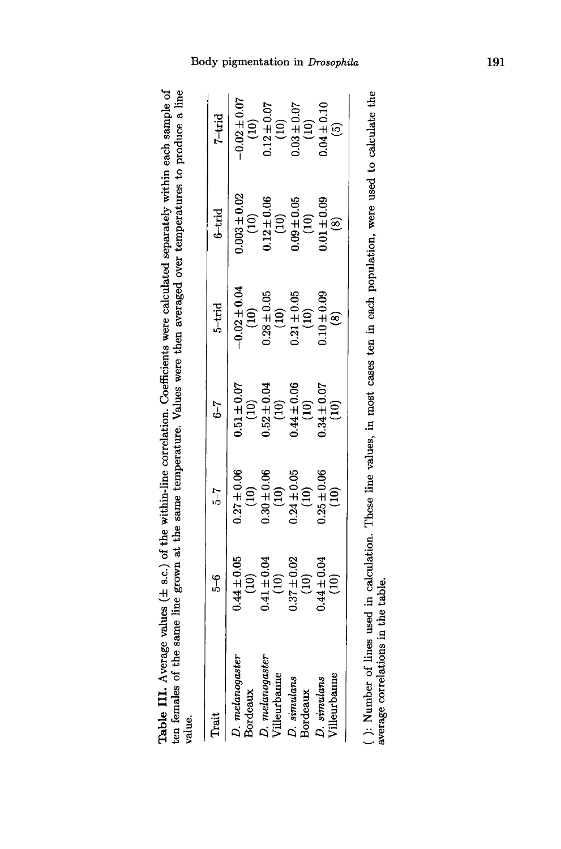Table III. Average values  $(\pm s.c.)$  of the within-line correlation. Coefficients were calculated separately within each sample of ten females of the same line grown at the same temperature. Values were then averaged over temperatures to produce a line value.

| .<br>Frai                                | ზ.<br>ა                                                                                                             | $^{7-2}$                                                                                                           | $1-9$                                                                                                               | $5$ -trid                                                                                                                    | $6$ -trid                                                                                                                              | $7-trid$                                                                                                             |
|------------------------------------------|---------------------------------------------------------------------------------------------------------------------|--------------------------------------------------------------------------------------------------------------------|---------------------------------------------------------------------------------------------------------------------|------------------------------------------------------------------------------------------------------------------------------|----------------------------------------------------------------------------------------------------------------------------------------|----------------------------------------------------------------------------------------------------------------------|
| ). melanogasten<br>Bordeaux              |                                                                                                                     |                                                                                                                    |                                                                                                                     |                                                                                                                              |                                                                                                                                        |                                                                                                                      |
| ${\cal O}.$ melanogaster<br>Villeurbanne |                                                                                                                     |                                                                                                                    |                                                                                                                     |                                                                                                                              |                                                                                                                                        |                                                                                                                      |
| D. simulans<br>Bordeaux                  |                                                                                                                     |                                                                                                                    |                                                                                                                     |                                                                                                                              |                                                                                                                                        |                                                                                                                      |
| Villeurbann<br>D. simulans               | $0.44 \pm 0.05$<br>$(10)$<br>$(10)$<br>$(10)$<br>$(10)$<br>$(10)$<br>$(10)$<br>$(10)$<br>$(10)$<br>$(10)$<br>$(10)$ | $0.27 \pm 0.06$<br>$(10)$<br>$0.30 \pm 0.06$<br>$(10)$<br>$(10)$<br>$(10)$<br>$(10)$<br>$(10)$<br>$(10)$<br>$(10)$ | $0.51 \pm 0.07$<br>$(10)$<br>$(10)$<br>$(10)$<br>$(10)$<br>$(10)$<br>$(10)$<br>$(10)$<br>$(10)$<br>$(10)$<br>$(10)$ | $-0.02 \pm 0.04$<br>$(10)$<br>$(10)$<br>$(28 \pm 0.05$<br>$(10)$<br>$(10)$<br>$(10)$<br>$(10)$<br>$(10)$<br>$(10)$<br>$(10)$ | $0.003 \pm 0.02$<br>$(10)$<br>$0.12 \pm 0.06$<br>$(10)$<br>$(10)$<br>$(10)$<br>$0.09 \pm 0.05$<br>$(10)$<br>$(10)$<br>$(10)$<br>$(10)$ | $-0.02 \pm 0.07$<br>$(10)$<br>$(10)$<br>$(10)$<br>$(10)$<br>$(10)$<br>$(10)$<br>$(10)$<br>$(10)$<br>$(10)$<br>$(10)$ |
|                                          |                                                                                                                     |                                                                                                                    |                                                                                                                     |                                                                                                                              |                                                                                                                                        |                                                                                                                      |

( ): Number of lines used in calculation. These line values, in most cases ten in each population, were used to calculate the average correlations in the table.

# Body pigmentation in Drosophila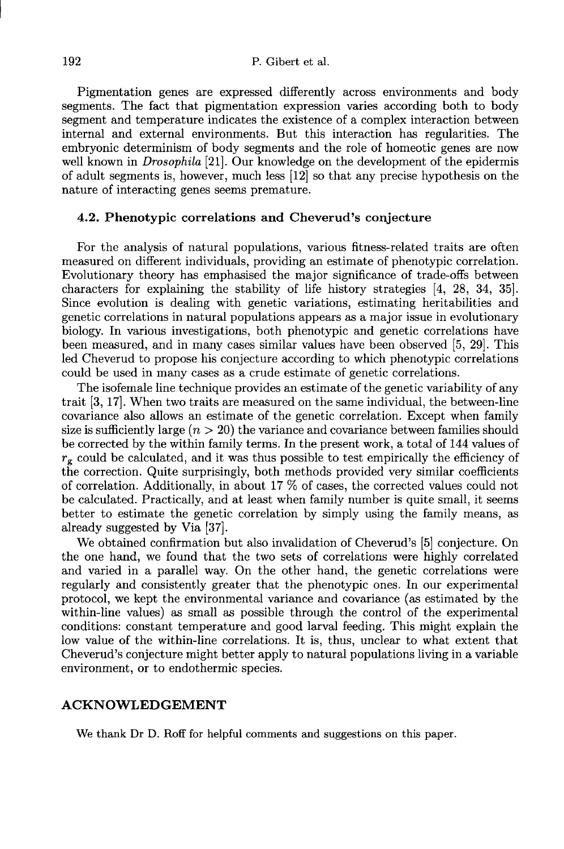Pigmentation genes are expressed differently across environments and body segments. The fact that pigmentation expression varies according both to body segment and temperature indicates the existence of a complex interaction between internal and external environments. But this interaction has regularities. The embryonic determinism of body segments and the role of homeotic genes are now well known in *Drosophila* [21]. Our knowledge on the development of the epidermis of adult segments is, however, much less [12] so that any precise hypothesis on the nature of interacting genes seems premature.

#### 4.2. Phenotypic correlations and Cheverud's conjecture

For the analysis of natural populations, various fitness-related traits are often measured on different individuals, providing an estimate of phenotypic correlation. Evolutionary theory has emphasised the major significance of trade-offs between characters for explaining the stability of life history strategies [4, 28, 34, 35]. Since evolution is dealing with genetic variations, estimating heritabilities and genetic correlations in natural populations appears as a major issue in evolutionary biology. In various investigations, both phenotypic and genetic correlations have been measured, and in many cases similar values have been observed [5, 29]. This led Cheverud to propose his conjecture according to which phenotypic correlations could be used in many cases as a crude estimate of genetic correlations.

The isofemale line technique provides an estimate of the genetic variability of any trait [3, 17!. When two traits are measured on the same individual, the between-line covariance also allows an estimate of the genetic correlation. Except when family size is sufficiently large  $(n > 20)$  the variance and covariance between families should be corrected by the within family terms. In the present work, a total of 144 values of  $r<sub>g</sub>$  could be calculated, and it was thus possible to test empirically the efficiency of the correction. Quite surprisingly, both methods provided very similar coefficients of correlation. Additionally, in about 17 % of cases, the corrected values could not be calculated. Practically, and at least when family number is quite small, it seems better to estimate the genetic correlation by simply using the family means, as already suggested by Via [37].

We obtained confirmation but also invalidation of Cheverud's [5] conjecture. On the one hand, we found that the two sets of correlations were highly correlated and varied in a parallel way. On the other hand, the genetic correlations were regularly and consistently greater that the phenotypic ones. In our experimental protocol, we kept the environmental variance and covariance (as estimated by the within-line values) as small as possible through the control of the experimental conditions: constant temperature and good larval feeding. This might explain the low value of the within-line correlations. It is, thus, unclear to what extent that Cheverud's conjecture might better apply to natural populations living in a variable environment, or to endothermic species.

## ACKNOWLEDGEMENT

We thank Dr D. Roff for helpful comments and suggestions on this paper.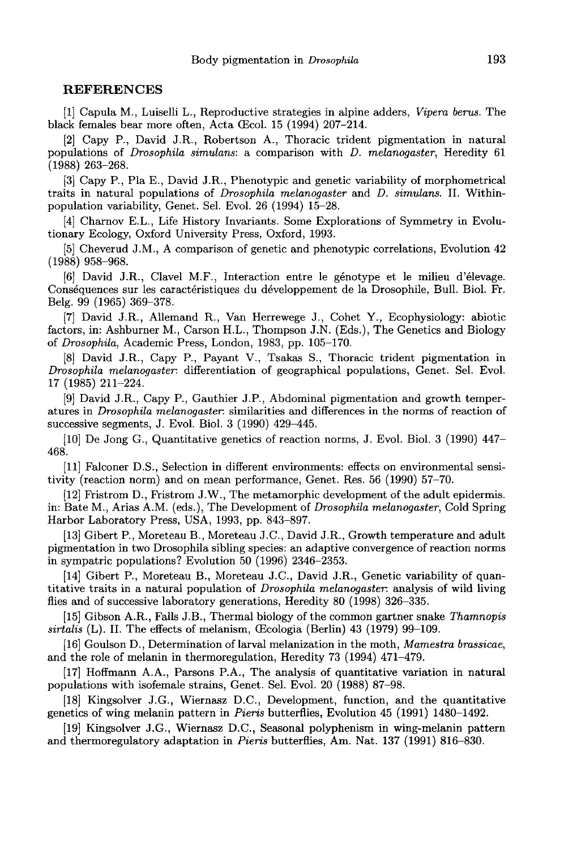#### REFERENCES

[1] Capula M., Luiselli L., Reproductive strategies in alpine adders, Vipera 6erus. The black females bear more often, Acta Œcol. 15 (1994) 207-214.

[2] Capy P., David J.R., Robertson A., Thoracic trident pigmentation in natural populations of Drosophila simulans: a comparison with D. melanogaster, Heredity 61 (1988) 263-268.

[3] Capy P., Pla E., David J.R., Phenotypic and genetic variability of morphometrical traits in natural populations of Drosophila melanogaster and D. simulans. II. Withinpopulation variability, Genet. Sel. Evol. 26 (1994) 15-28.

[4] Charnov E.L., Life History Invariants. Some Explorations of Symmetry in Evolutionary Ecology, Oxford University Press, Oxford, 1993.

[5] Cheverud J.M., A comparison of genetic and phenotypic correlations, Evolution 42 (1988) 958-968.

[6] David J.R., Clavel M.F., Interaction entre le genotype et le milieu d'élevage. Consequences sur les caractéristiques du développement de la Drosophile, Bull. Biol. Fr. Belg. 99 (1965) 369-378.

[7] David J.R., Allemand R., Van Herrewege J., Cohet Y., Ecophysiology: abiotic factors, in: Ashburner M., Carson H.L., Thompson J.N. (Eds.), The Genetics and Biology of Drosophila, Academic Press, London, 1983, pp. 105-170.

[8] David J.R., Capy P., Payant V., Tsakas S., Thoracic trident pigmentation in Drosophila melanogaster. differentiation of geographical populations, Genet. Sel. Evol. 17 (1985) 211-224.

[9] David J.R., Capy P., Gauthier J.P., Abdominal pigmentation and growth temper- atures in Drosophila melanogaster. similarities and differences in the norms of reaction of successive segments, J. Evol. Biol. 3 (1990) 429-445.

[10] De Jong G., Quantitative genetics of reaction norms, J. Evol. Biol. 3 (1990) 447- 468.

[11] Falconer D.S., Selection in different environments: effects on environmental sensitivity (reaction norm) and on mean performance, Genet. Res. 56 (1990) 57-70.

[12] Fristrom D., Fristrom J.W., The metamorphic development of the adult epidermis. in: Bate M., Arias A.M. (eds.), The Development of Drosophila melanogaster, Cold Spring Harbor Laboratory Press, USA, 1993, pp. 843-897.

[13] Gibert P., Moreteau B., Moreteau J.C., David J.R., Growth temperature and adult pigmentation in two Drosophila sibling species: an adaptive convergence of reaction norms in sympatric populations? Evolution 50 (1996) 2346-2353.

[14] Gibert P., Moreteau B., Moreteau J.C., David J.R., Genetic variability of quantitative traits in a natural population of Drosophila melanogaster. analysis of wild living flies and of successive laboratory generations, Heredity 80 (1998) 326-335.

[15] Gibson A.R., Falls J.B., Thermal biology of the common gartner snake Thamnopis  $sirtalis$  (L). II. The effects of melanism,  $Ecologia$  (Berlin) 43 (1979) 99-109.

[16] Goulson D., Determination of larval melanization in the moth, Mamestra brassicae, and the role of melanin in thermoregulation, Heredity 73 (1994) 471-479.

[17] Hoffmann A.A., Parsons P.A., The analysis of quantitative variation in natural populations with isofemale strains, Genet. Sel. Evol. 20 (1988) 87-98.

[18] Kingsolver J.G., Wiernasz D.C., Development, function, and the quantitative genetics of wing melanin pattern in Pieris butterflies, Evolution 45 (1991) 1480-1492.

[19] Kingsolver J.G., Wiernasz D.C., Seasonal polyphenism in wing-melanin pattern and thermoregulatory adaptation in Pieris butterflies, Am. Nat. 137 (1991) 816-830.